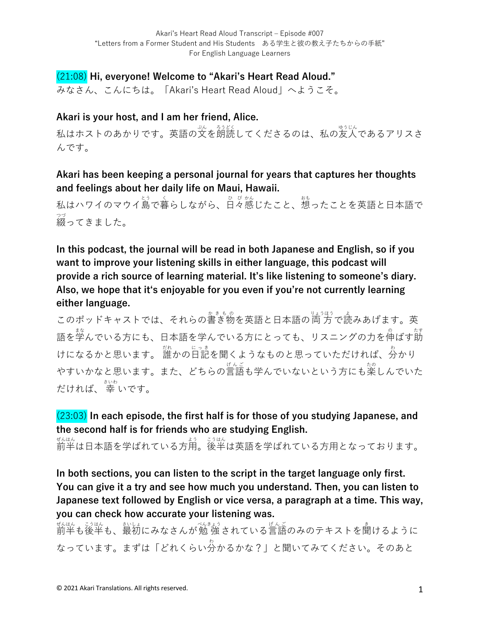# (21:08) **Hi, everyone! Welcome to "Akari's Heart Read Aloud."**

みなさん、こんにちは。「Akari's Heart Read Aloud」へようこそ。

## **Akari is your host, and I am her friend, Alice.**

私はホストのあかりです。英語の文を朗読してくださるのは、私の友人であるアリスさ んです。

# **Akari has been keeping a personal journal for years that captures her thoughts and feelings about her daily life on Maui, Hawaii.**

私はハワイのマウイ島で暮らしながら、日々感じたこと、想ったことを英語と日本語で 綴 つづ ってきました。

**In this podcast, the journal will be read in both Japanese and English, so if you want to improve your listening skills in either language, this podcast will provide a rich source of learning material. It's like listening to someone's diary. Also, we hope that itʻs enjoyable for you even if you're not currently learning either language.**

このポッドキャストでは、それらの書き物を英語と日本語の両方で読みあげます。英 語を学んでいる方にも、日本語を学んでいる方にとっても、リスニングの力を伸ばす莇 けになるかと思います。 誰かの旨記を聞くようなものと思っていただければ、分かり やすいかなと思います。また、どちらの言語も学んでいないという方にも楽しんでいた だければ、 幸 さいわ いです。

# (23:03) **In each episode, the first half is for those of you studying Japanese, and the second half is for friends who are studying English.**

ぜんはん<br>前半は日本語を学ばれている方用。後半は英語を学ばれている方用となっております。

**In both sections, you can listen to the script in the target language only first. You can give it a try and see how much you understand. Then, you can listen to Japanese text followed by English or vice versa, a paragraph at a time. This way, you can check how accurate your listening was.**

ぜんはん。 ジはん、 おいはん ぶんこう きんこう しんごう あいしょう きょういんはん こうはん こうはん なっています。まずは「どれくらい分 わ かるかな?」と聞いてみてください。そのあと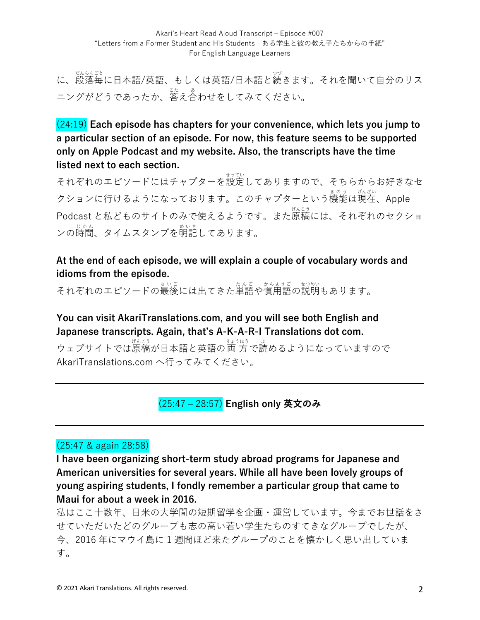に、<sub>段落年に日本語/英語、もしくは英語/日本語と続きます。それを聞いて自分のリス</sub> ニングがどうであったか、答え合わせをしてみてください。

(24:19) **Each episode has chapters for your convenience, which lets you jump to a particular section of an episode. For now, this feature seems to be supported only on Apple Podcast and my website. Also, the transcripts have the time listed next to each section.**

それぞれのエピソードにはチャプターを設定してありますので、そちらからお好きなセ クションに行けるようになっております。このチャプターという機能は現在、Apple Podcast と私どものサイトのみで使えるようです。また原稿 げんこう には、それぞれのセクショ <sub>ンの時間、タイムスタンプを明記してあります。</sub>

## **At the end of each episode, we will explain a couple of vocabulary words and idioms from the episode.**

それぞれのエピソードの最後には出てきた単語や慣用語の説明もあります。

**You can visit AkariTranslations.com, and you will see both English and Japanese transcripts. Again, that's A-K-A-R-I Translations dot com.**

ウェブサイトでは原稿が日本語と英語の両方で読めるようになっていますので AkariTranslations.com へ行ってみてください。

(25:47 ‒ 28:57) **English only 英⽂のみ**

## (25:47 & again 28:58)

**I have been organizing short-term study abroad programs for Japanese and American universities for several years. While all have been lovely groups of young aspiring students, I fondly remember a particular group that came to Maui for about a week in 2016.** 

私はここ十数年、日米の大学間の短期留学を企画·運営しています。今までお世話をさ せていただいたどのグループも志の⾼い若い学⽣たちのすてきなグループでしたが、 今、2016 年にマウイ島に 1 週間ほど来たグループのことを懐かしく思い出していま す。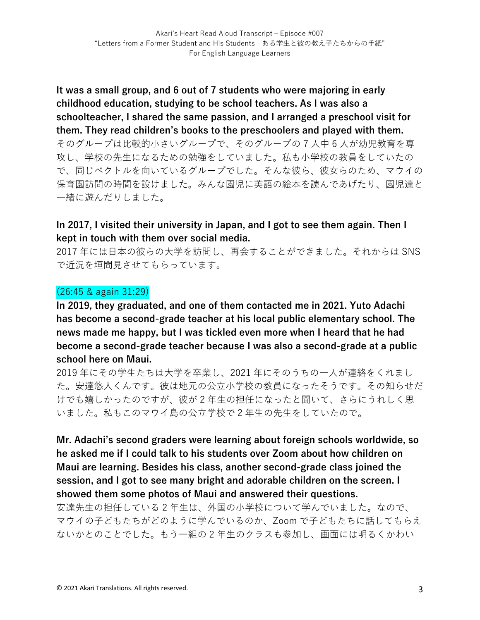**It was a small group, and 6 out of 7 students who were majoring in early childhood education, studying to be school teachers. As I was also a schoolteacher, I shared the same passion, and I arranged a preschool visit for them. They read children's books to the preschoolers and played with them.**  そのグループは比較的小さいグループで、そのグループの7人中6人が幼児教育を専 攻し、学校の先⽣になるための勉強をしていました。私も⼩学校の教員をしていたの で、同じベクトルを向いているグループでした。そんな彼ら、彼⼥らのため、マウイの 保育園訪問の時間を設けました。みんな園児に英語の絵本を読んであげたり、園児達と ⼀緒に遊んだりしました。

## **In 2017, I visited their university in Japan, and I got to see them again. Then I kept in touch with them over social media.**

2017 年には日本の彼らの大学を訪問し、再会することができました。それからは SNS で近況を垣間⾒させてもらっています。

## (26:45 & again 31:29)

**In 2019, they graduated, and one of them contacted me in 2021. Yuto Adachi has become a second-grade teacher at his local public elementary school. The news made me happy, but I was tickled even more when I heard that he had become a second-grade teacher because I was also a second-grade at a public school here on Maui.** 

2019 年にその学⽣たちは⼤学を卒業し、2021 年にそのうちの⼀⼈が連絡をくれまし た。安達悠人くんです。彼は地元の公立小学校の教員になったそうです。その知らせだ けでも嬉しかったのですが、彼が 2 年⽣の担任になったと聞いて、さらにうれしく思 いました。私もこのマウイ島の公⽴学校で 2 年⽣の先⽣をしていたので。

**Mr. Adachi's second graders were learning about foreign schools worldwide, so he asked me if I could talk to his students over Zoom about how children on Maui are learning. Besides his class, another second-grade class joined the session, and I got to see many bright and adorable children on the screen. I showed them some photos of Maui and answered their questions.** 

安達先生の担任している2年生は、外国の小学校について学んでいました。なので、 マウイの⼦どもたちがどのように学んでいるのか、Zoom で⼦どもたちに話してもらえ ないかとのことでした。もう一組の2年生のクラスも参加し、画面には明るくかわい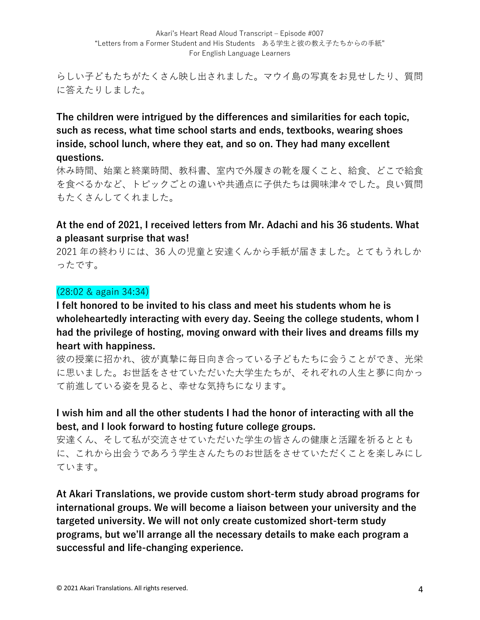らしい⼦どもたちがたくさん映し出されました。マウイ島の写真をお⾒せしたり、質問 に答えたりしました。

**The children were intrigued by the differences and similarities for each topic, such as recess, what time school starts and ends, textbooks, wearing shoes inside, school lunch, where they eat, and so on. They had many excellent questions.** 

休み時間、始業と終業時間、教科書、室内で外履きの靴を履くこと、給食、どこで給食 を食べるかなど、トピックごとの違いや共通点に子供たちは興味津々でした。良い質問 もたくさんしてくれました。

## **At the end of 2021, I received letters from Mr. Adachi and his 36 students. What a pleasant surprise that was!**

2021年の終わりには、36人の児童と安達くんから手紙が届きました。とてもうれしか ったです。

## (28:02 & again 34:34)

**I felt honored to be invited to his class and meet his students whom he is wholeheartedly interacting with every day. Seeing the college students, whom I had the privilege of hosting, moving onward with their lives and dreams fills my heart with happiness.** 

彼の授業に招かれ、彼が真摯に毎日向き合っている子どもたちに会うことができ、光栄 に思いました。お世話をさせていただいた大学生たちが、それぞれの人生と夢に向かっ て前進している姿を⾒ると、幸せな気持ちになります。

## **I wish him and all the other students I had the honor of interacting with all the best, and I look forward to hosting future college groups.**

安達くん、そして私が交流させていただいた学⽣の皆さんの健康と活躍を祈るととも に、これから出会うであろう学⽣さんたちのお世話をさせていただくことを楽しみにし ています。

**At Akari Translations, we provide custom short-term study abroad programs for international groups. We will become a liaison between your university and the targeted university. We will not only create customized short-term study programs, but we'll arrange all the necessary details to make each program a successful and life-changing experience.**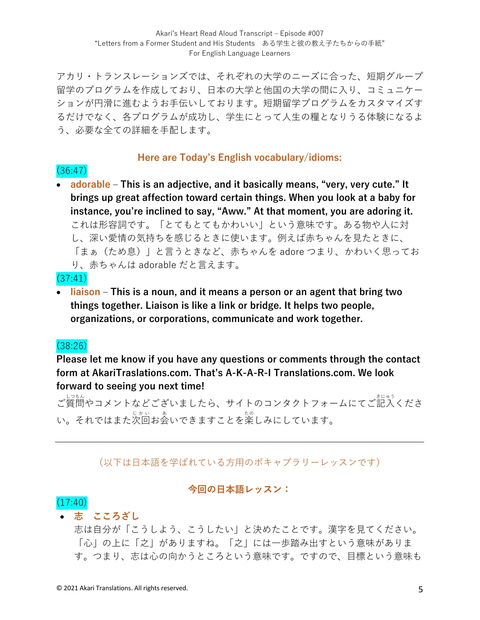アカリ・トランスレーションズでは、それぞれの⼤学のニーズに合った、短期グループ 留学のプログラムを作成しており、日本の大学と他国の大学の間に入り、コミュニケー ションが円滑に進むようお⼿伝いしております。短期留学プログラムをカスタマイズす るだけでなく、各プログラムが成功し、学生にとって人生の糧となりうる体験になるよ う、必要な全ての詳細を手配します。

#### **Here are Today's English vocabulary/idioms:**

(36:47) • **adorable ‒ This is an adjective, and it basically means, "very, very cute." It brings up great affection toward certain things. When you look at a baby for instance, you're inclined to say, "Aww." At that moment, you are adoring it.**  これは形容詞です。「とてもとてもかわいい」という意味です。ある物や人に対 し、深い愛情の気持ちを感じるときに使います。例えば⾚ちゃんを⾒たときに、 「まぁ(ため息)」と⾔うときなど、⾚ちゃんを adore つまり、かわいく思ってお り、赤ちゃんは adorable だと言えます。

#### (37:41)

• **liaison ‒ This is a noun, and it means a person or an agent that bring two things together. Liaison is like a link or bridge. It helps two people, organizations, or corporations, communicate and work together.**

## (38:26)

**Please let me know if you have any questions or comments through the contact form at AkariTraslations.com. That's A-K-A-R-I Translations.com. We look forward to seeing you next time!**

ご質問 しつもん やコメントなどございましたら、サイトのコンタクトフォームにてご記⼊ きにゅう くださ い。それではまた次回お会いできますことを楽しみにしています。

## (以下は⽇本語を学ばれている⽅⽤のボキャブラリーレッスンです)

#### **今回の⽇本語レッスン:**

## $(17:40)$

#### • **志 こころざし**

志は⾃分が「こうしよう、こうしたい」と決めたことです。漢字を⾒てください。 「⼼」の上に「之」がありますね。「之」には⼀歩踏み出すという意味がありま す。つまり、志は⼼の向かうところという意味です。ですので、⽬標という意味も